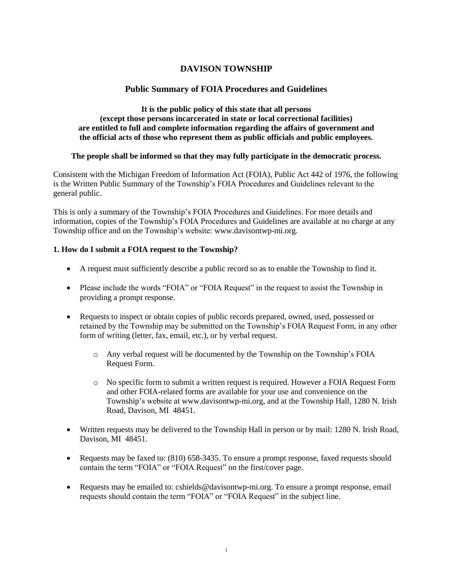# **DAVISON TOWNSHIP**

## **Public Summary of FOIA Procedures and Guidelines**

### **It is the public policy of this state that all persons (except those persons incarcerated in state or local correctional facilities) are entitled to full and complete information regarding the affairs of government and the official acts of those who represent them as public officials and public employees.**

### **The people shall be informed so that they may fully participate in the democratic process.**

Consistent with the Michigan Freedom of Information Act (FOIA), Public Act 442 of 1976, the following is the Written Public Summary of the Township's FOIA Procedures and Guidelines relevant to the general public.

This is only a summary of the Township's FOIA Procedures and Guidelines. For more details and information, copies of the Township's FOIA Procedures and Guidelines are available at no charge at any Township office and on the Township's website: www.davisontwp-mi.org.

### **1. How do I submit a FOIA request to the Township?**

- A request must sufficiently describe a public record so as to enable the Township to find it.
- Please include the words "FOIA" or "FOIA Request" in the request to assist the Township in providing a prompt response.
- Requests to inspect or obtain copies of public records prepared, owned, used, possessed or retained by the Township may be submitted on the Township's FOIA Request Form, in any other form of writing (letter, fax, email, etc.), or by verbal request.
	- o Any verbal request will be documented by the Township on the Township's FOIA Request Form.
	- o No specific form to submit a written request is required. However a FOIA Request Form and other FOIA-related forms are available for your use and convenience on the Township's website at www.davisontwp-mi.org, and at the Township Hall, 1280 N. Irish Road, Davison, MI 48451.
- Written requests may be delivered to the Township Hall in person or by mail: 1280 N. Irish Road, Davison, MI 48451.
- Requests may be faxed to: (810) 658-3435. To ensure a prompt response, faxed requests should contain the term "FOIA" or "FOIA Request" on the first/cover page.
- Requests may be emailed to: cshields@davisontwp-mi.org. To ensure a prompt response, email requests should contain the term "FOIA" or "FOIA Request" in the subject line.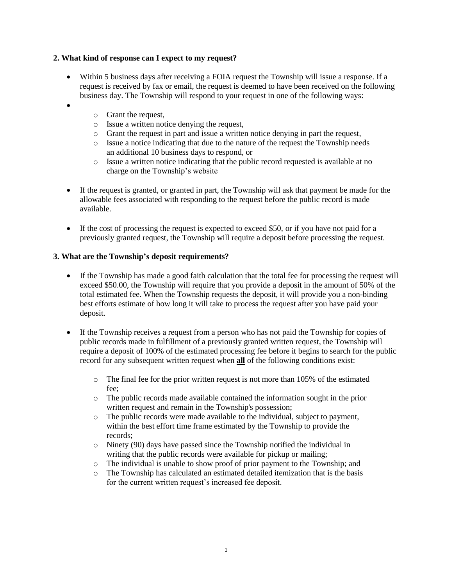## **2. What kind of response can I expect to my request?**

- Within 5 business days after receiving a FOIA request the Township will issue a response. If a request is received by fax or email, the request is deemed to have been received on the following business day. The Township will respond to your request in one of the following ways:
- $\bullet$
- o Grant the request,
- o Issue a written notice denying the request,
- o Grant the request in part and issue a written notice denying in part the request,
- o Issue a notice indicating that due to the nature of the request the Township needs an additional 10 business days to respond, or
- o Issue a written notice indicating that the public record requested is available at no charge on the Township's website
- If the request is granted, or granted in part, the Township will ask that payment be made for the allowable fees associated with responding to the request before the public record is made available.
- If the cost of processing the request is expected to exceed \$50, or if you have not paid for a previously granted request, the Township will require a deposit before processing the request.

## **3. What are the Township's deposit requirements?**

- If the Township has made a good faith calculation that the total fee for processing the request will exceed \$50.00, the Township will require that you provide a deposit in the amount of 50% of the total estimated fee. When the Township requests the deposit, it will provide you a non-binding best efforts estimate of how long it will take to process the request after you have paid your deposit.
- If the Township receives a request from a person who has not paid the Township for copies of public records made in fulfillment of a previously granted written request, the Township will require a deposit of 100% of the estimated processing fee before it begins to search for the public record for any subsequent written request when **all** of the following conditions exist:
	- $\circ$  The final fee for the prior written request is not more than 105% of the estimated fee;
	- o The public records made available contained the information sought in the prior written request and remain in the Township's possession;
	- o The public records were made available to the individual, subject to payment, within the best effort time frame estimated by the Township to provide the records;
	- o Ninety (90) days have passed since the Township notified the individual in writing that the public records were available for pickup or mailing;
	- o The individual is unable to show proof of prior payment to the Township; and
	- o The Township has calculated an estimated detailed itemization that is the basis for the current written request's increased fee deposit.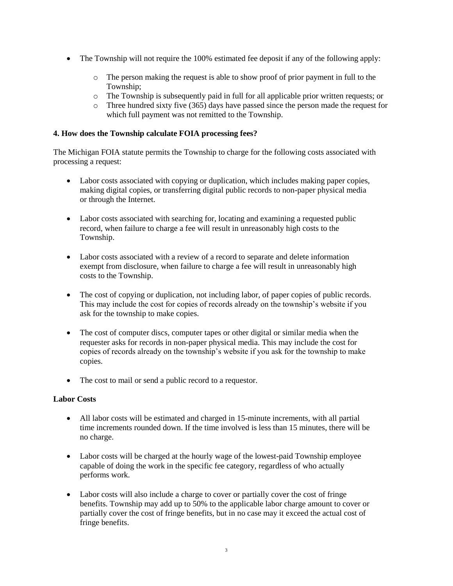- The Township will not require the 100% estimated fee deposit if any of the following apply:
	- o The person making the request is able to show proof of prior payment in full to the Township;
	- o The Township is subsequently paid in full for all applicable prior written requests; or
	- o Three hundred sixty five (365) days have passed since the person made the request for which full payment was not remitted to the Township.

### **4. How does the Township calculate FOIA processing fees?**

The Michigan FOIA statute permits the Township to charge for the following costs associated with processing a request:

- Labor costs associated with copying or duplication, which includes making paper copies, making digital copies, or transferring digital public records to non-paper physical media or through the Internet.
- Labor costs associated with searching for, locating and examining a requested public record, when failure to charge a fee will result in unreasonably high costs to the Township.
- Labor costs associated with a review of a record to separate and delete information exempt from disclosure, when failure to charge a fee will result in unreasonably high costs to the Township.
- The cost of copying or duplication, not including labor, of paper copies of public records. This may include the cost for copies of records already on the township's website if you ask for the township to make copies.
- The cost of computer discs, computer tapes or other digital or similar media when the requester asks for records in non-paper physical media. This may include the cost for copies of records already on the township's website if you ask for the township to make copies.
- The cost to mail or send a public record to a requestor.

### **Labor Costs**

- All labor costs will be estimated and charged in 15-minute increments, with all partial time increments rounded down. If the time involved is less than 15 minutes, there will be no charge.
- Labor costs will be charged at the hourly wage of the lowest-paid Township employee capable of doing the work in the specific fee category, regardless of who actually performs work.
- Labor costs will also include a charge to cover or partially cover the cost of fringe benefits. Township may add up to 50% to the applicable labor charge amount to cover or partially cover the cost of fringe benefits, but in no case may it exceed the actual cost of fringe benefits.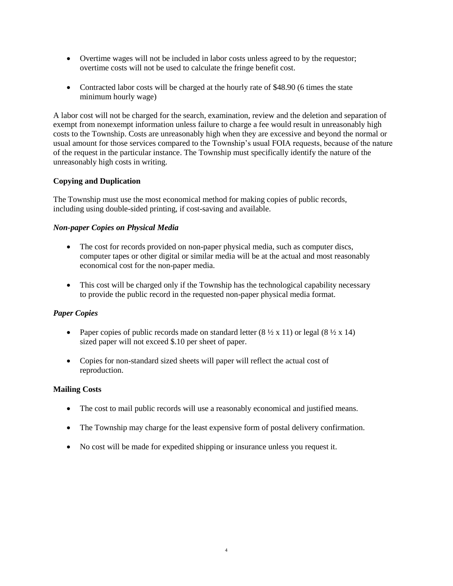- Overtime wages will not be included in labor costs unless agreed to by the requestor; overtime costs will not be used to calculate the fringe benefit cost.
- Contracted labor costs will be charged at the hourly rate of \$48.90 (6 times the state minimum hourly wage)

A labor cost will not be charged for the search, examination, review and the deletion and separation of exempt from nonexempt information unless failure to charge a fee would result in unreasonably high costs to the Township. Costs are unreasonably high when they are excessive and beyond the normal or usual amount for those services compared to the Township's usual FOIA requests, because of the nature of the request in the particular instance. The Township must specifically identify the nature of the unreasonably high costs in writing.

# **Copying and Duplication**

The Township must use the most economical method for making copies of public records, including using double-sided printing, if cost-saving and available.

# *Non-paper Copies on Physical Media*

- The cost for records provided on non-paper physical media, such as computer discs, computer tapes or other digital or similar media will be at the actual and most reasonably economical cost for the non-paper media.
- This cost will be charged only if the Township has the technological capability necessary to provide the public record in the requested non-paper physical media format.

# *Paper Copies*

- Paper copies of public records made on standard letter  $(8 \frac{1}{2} \times 11)$  or legal  $(8 \frac{1}{2} \times 14)$ sized paper will not exceed \$.10 per sheet of paper.
- Copies for non-standard sized sheets will paper will reflect the actual cost of reproduction.

# **Mailing Costs**

- The cost to mail public records will use a reasonably economical and justified means.
- The Township may charge for the least expensive form of postal delivery confirmation.
- No cost will be made for expedited shipping or insurance unless you request it.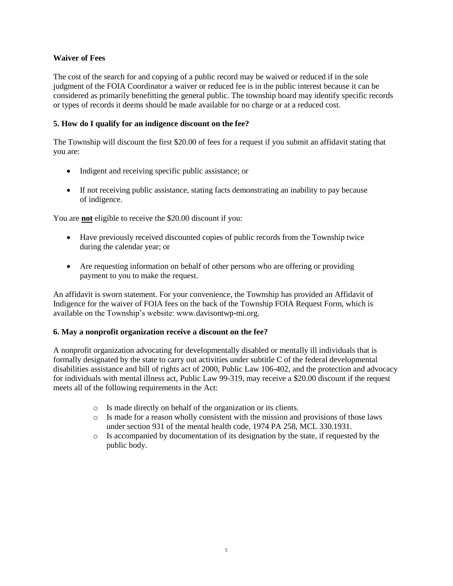## **Waiver of Fees**

The cost of the search for and copying of a public record may be waived or reduced if in the sole judgment of the FOIA Coordinator a waiver or reduced fee is in the public interest because it can be considered as primarily benefitting the general public. The township board may identify specific records or types of records it deems should be made available for no charge or at a reduced cost.

## **5. How do I qualify for an indigence discount on the fee?**

The Township will discount the first \$20.00 of fees for a request if you submit an affidavit stating that you are:

- Indigent and receiving specific public assistance; or
- If not receiving public assistance, stating facts demonstrating an inability to pay because of indigence.

You are **not** eligible to receive the \$20.00 discount if you:

- Have previously received discounted copies of public records from the Township twice during the calendar year; or
- Are requesting information on behalf of other persons who are offering or providing payment to you to make the request.

An affidavit is sworn statement. For your convenience, the Township has provided an Affidavit of Indigence for the waiver of FOIA fees on the back of the Township FOIA Request Form, which is available on the Township's website: www.davisontwp-mi.org.

### **6. May a nonprofit organization receive a discount on the fee?**

A nonprofit organization advocating for developmentally disabled or mentally ill individuals that is formally designated by the state to carry out activities under subtitle C of the federal developmental disabilities assistance and bill of rights act of 2000, Public Law 106-402, and the protection and advocacy for individuals with mental illness act, Public Law 99-319, may receive a \$20.00 discount if the request meets all of the following requirements in the Act:

- o Is made directly on behalf of the organization or its clients.
- o Is made for a reason wholly consistent with the mission and provisions of those laws under section 931 of the mental health code, 1974 PA 258, MCL 330.1931.
- o Is accompanied by documentation of its designation by the state, if requested by the public body.